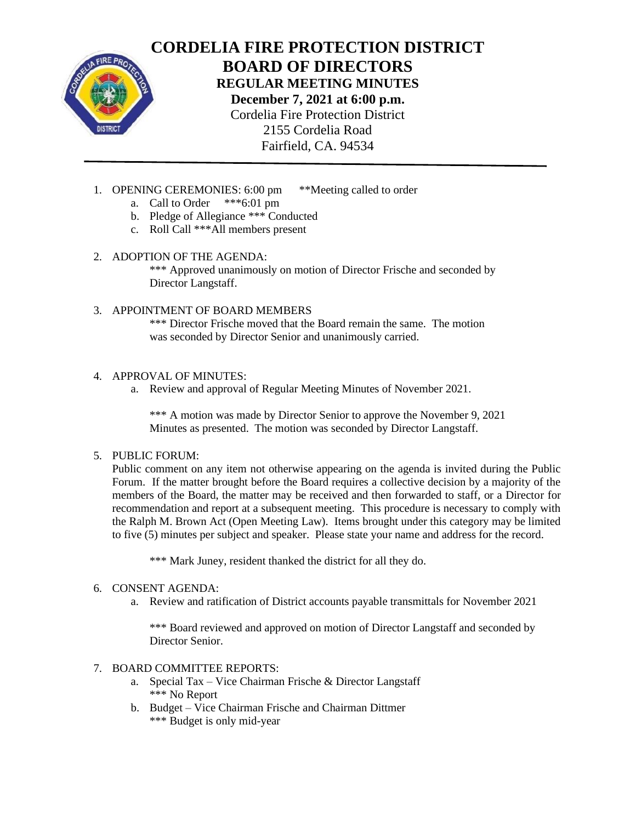

**CORDELIA FIRE PROTECTION DISTRICT BOARD OF DIRECTORS REGULAR MEETING MINUTES December 7, 2021 at 6:00 p.m.** Cordelia Fire Protection District 2155 Cordelia Road Fairfield, CA. 94534

- 1. OPENING CEREMONIES: 6:00 pm \*\*Meeting called to order
	- a. Call to Order \*\*\*6:01 pm
	- b. Pledge of Allegiance \*\*\* Conducted
	- c. Roll Call \*\*\*All members present

## 2. ADOPTION OF THE AGENDA:

\*\*\* Approved unanimously on motion of Director Frische and seconded by Director Langstaff.

## 3. APPOINTMENT OF BOARD MEMBERS

\*\*\* Director Frische moved that the Board remain the same. The motion was seconded by Director Senior and unanimously carried.

## 4. APPROVAL OF MINUTES:

a. Review and approval of Regular Meeting Minutes of November 2021.

\*\*\* A motion was made by Director Senior to approve the November 9, 2021 Minutes as presented. The motion was seconded by Director Langstaff.

## 5. PUBLIC FORUM:

Public comment on any item not otherwise appearing on the agenda is invited during the Public Forum. If the matter brought before the Board requires a collective decision by a majority of the members of the Board, the matter may be received and then forwarded to staff, or a Director for recommendation and report at a subsequent meeting. This procedure is necessary to comply with the Ralph M. Brown Act (Open Meeting Law). Items brought under this category may be limited to five (5) minutes per subject and speaker. Please state your name and address for the record.

\*\*\* Mark Juney, resident thanked the district for all they do.

## 6. CONSENT AGENDA:

a. Review and ratification of District accounts payable transmittals for November 2021

\*\*\* Board reviewed and approved on motion of Director Langstaff and seconded by Director Senior.

# 7. BOARD COMMITTEE REPORTS:

- a. Special Tax Vice Chairman Frische & Director Langstaff \*\*\* No Report
- b. Budget Vice Chairman Frische and Chairman Dittmer \*\*\* Budget is only mid-year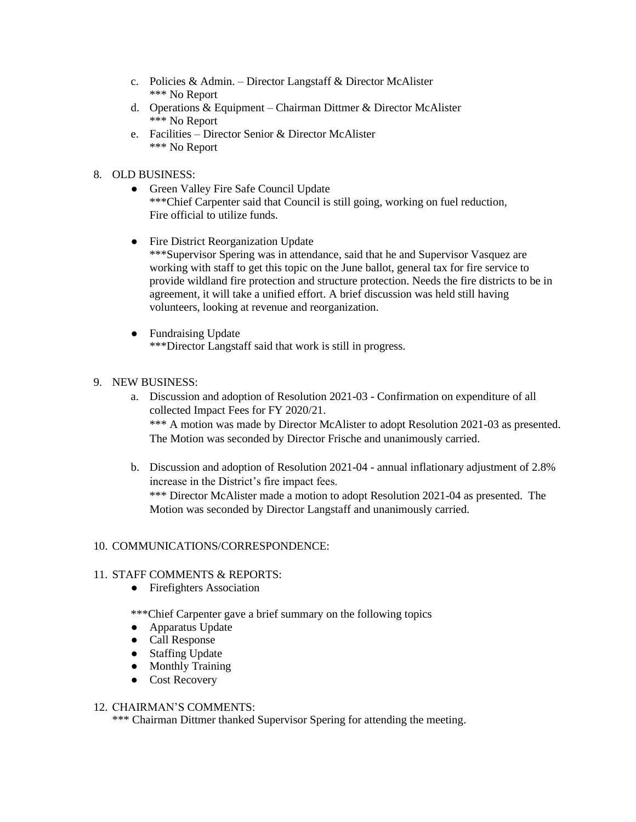- c. Policies & Admin. Director Langstaff & Director McAlister \*\*\* No Report
- d. Operations & Equipment Chairman Dittmer & Director McAlister \*\*\* No Report
- e. Facilities Director Senior & Director McAlister \*\*\* No Report

### 8. OLD BUSINESS:

- Green Valley Fire Safe Council Update \*\*\*Chief Carpenter said that Council is still going, working on fuel reduction, Fire official to utilize funds.
- Fire District Reorganization Update \*\*\*Supervisor Spering was in attendance, said that he and Supervisor Vasquez are working with staff to get this topic on the June ballot, general tax for fire service to provide wildland fire protection and structure protection. Needs the fire districts to be in agreement, it will take a unified effort. A brief discussion was held still having volunteers, looking at revenue and reorganization.
- Fundraising Update \*\*\*Director Langstaff said that work is still in progress.
- 9. NEW BUSINESS:
	- a. Discussion and adoption of Resolution 2021-03 Confirmation on expenditure of all collected Impact Fees for FY 2020/21. \*\*\* A motion was made by Director McAlister to adopt Resolution 2021-03 as presented. The Motion was seconded by Director Frische and unanimously carried.
	- b. Discussion and adoption of Resolution 2021-04 annual inflationary adjustment of 2.8% increase in the District's fire impact fees.

\*\*\* Director McAlister made a motion to adopt Resolution 2021-04 as presented. The Motion was seconded by Director Langstaff and unanimously carried.

#### 10. COMMUNICATIONS/CORRESPONDENCE:

#### 11. STAFF COMMENTS & REPORTS:

• Firefighters Association

\*\*\*Chief Carpenter gave a brief summary on the following topics

- Apparatus Update
- Call Response
- Staffing Update
- Monthly Training
- Cost Recovery

#### 12. CHAIRMAN'S COMMENTS:

\*\*\* Chairman Dittmer thanked Supervisor Spering for attending the meeting.